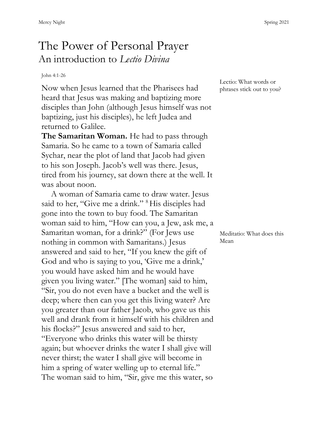## The Power of Personal Prayer An introduction to *Lectio Divina*

## John 4:1-26

Now when Jesus learned that the Pharisees had heard that Jesus was making and baptizing more disciples than John (although Jesus himself was not baptizing, just his disciples), he left Judea and returned to Galilee.

**The Samaritan Woman.** He had to pass through Samaria. So he came to a town of Samaria called Sychar, near the plot of land that Jacob had given to his son Joseph. Jacob's well was there. Jesus, tired from his journey, sat down there at the well. It was about noon.

A woman of Samaria came to draw water. Jesus said to her, "Give me a drink." <sup>8</sup>His disciples had gone into the town to buy food. The Samaritan woman said to him, "How can you, a Jew, ask me, a Samaritan woman, for a drink?" (For Jews use nothing in common with Samaritans.) Jesus answered and said to her, "If you knew the gift of God and who is saying to you, 'Give me a drink,' you would have asked him and he would have given you living water." [The woman] said to him, "Sir, you do not even have a bucket and the well is deep; where then can you get this living water? Are you greater than our father Jacob, who gave us this well and drank from it himself with his children and his flocks?" Jesus answered and said to her, "Everyone who drinks this water will be thirsty again; but whoever drinks the water I shall give will never thirst; the water I shall give will become in him a spring of water welling up to eternal life." The woman said to him, "Sir, give me this water, so

Lectio: What words or phrases stick out to you?

Meditatio: What does this Mean